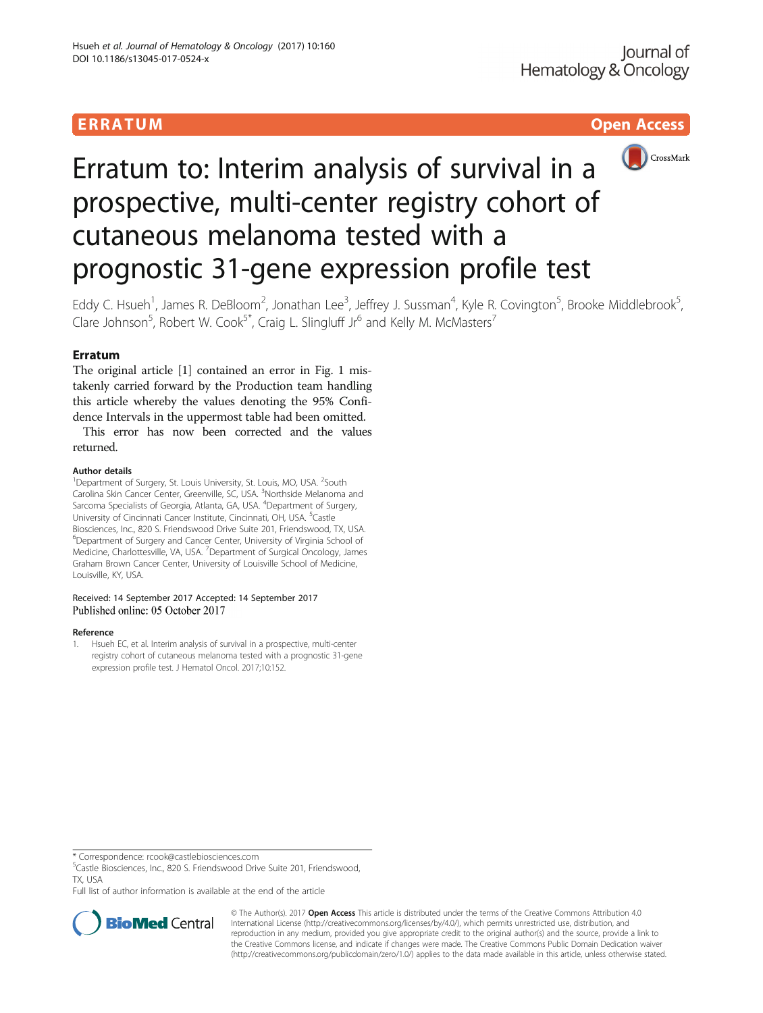

# Erratum to: Interim analysis of survival in a prospective, multi-center registry cohort of cutaneous melanoma tested with a prognostic 31-gene expression profile test

Eddy C. Hsueh<sup>1</sup>, James R. DeBloom<sup>2</sup>, Jonathan Lee<sup>3</sup>, Jeffrey J. Sussman<sup>4</sup>, Kyle R. Covington<sup>5</sup>, Brooke Middlebrook<sup>5</sup> , Clare Johnson<sup>5</sup>, Robert W. Cook<sup>5\*</sup>, Craig L. Slingluff Jr<sup>6</sup> and Kelly M. McMasters<sup>7</sup>

# **Erratum**

The original article [1] contained an error in Fig. [1](#page-1-0) mistakenly carried forward by the Production team handling this article whereby the values denoting the 95% Confidence Intervals in the uppermost table had been omitted.

This error has now been corrected and the values returned.

# Author details

<sup>1</sup>Department of Surgery, St. Louis University, St. Louis, MO, USA. <sup>2</sup>South Carolina Skin Cancer Center, Greenville, SC, USA. <sup>3</sup>Northside Melanoma and Sarcoma Specialists of Georgia, Atlanta, GA, USA. <sup>4</sup>Department of Surgery, University of Cincinnati Cancer Institute, Cincinnati, OH, USA. <sup>5</sup>Castle Biosciences, Inc., 820 S. Friendswood Drive Suite 201, Friendswood, TX, USA. <sup>6</sup>Department of Surgery and Cancer Center, University of Virginia School of Medicine, Charlottesville, VA, USA. <sup>7</sup> Department of Surgical Oncology, James Graham Brown Cancer Center, University of Louisville School of Medicine, Louisville, KY, USA.

## Received: 14 September 2017 Accepted: 14 September 2017 Published online: 05 October 2017

## Reference

1. Hsueh EC, et al. Interim analysis of survival in a prospective, multi-center registry cohort of cutaneous melanoma tested with a prognostic 31-gene expression profile test. J Hematol Oncol. 2017;10:152.

<sup>5</sup>Castle Biosciences, Inc., 820 S. Friendswood Drive Suite 201, Friendswood, TX, USA

Full list of author information is available at the end of the article



© The Author(s). 2017 **Open Access** This article is distributed under the terms of the Creative Commons Attribution 4.0 International License [\(http://creativecommons.org/licenses/by/4.0/](http://creativecommons.org/licenses/by/4.0/)), which permits unrestricted use, distribution, and reproduction in any medium, provided you give appropriate credit to the original author(s) and the source, provide a link to the Creative Commons license, and indicate if changes were made. The Creative Commons Public Domain Dedication waiver [\(http://creativecommons.org/publicdomain/zero/1.0/](http://creativecommons.org/publicdomain/zero/1.0/)) applies to the data made available in this article, unless otherwise stated.

<sup>\*</sup> Correspondence: [rcook@castlebiosciences.com](mailto:rcook@castlebiosciences.com) <sup>5</sup>